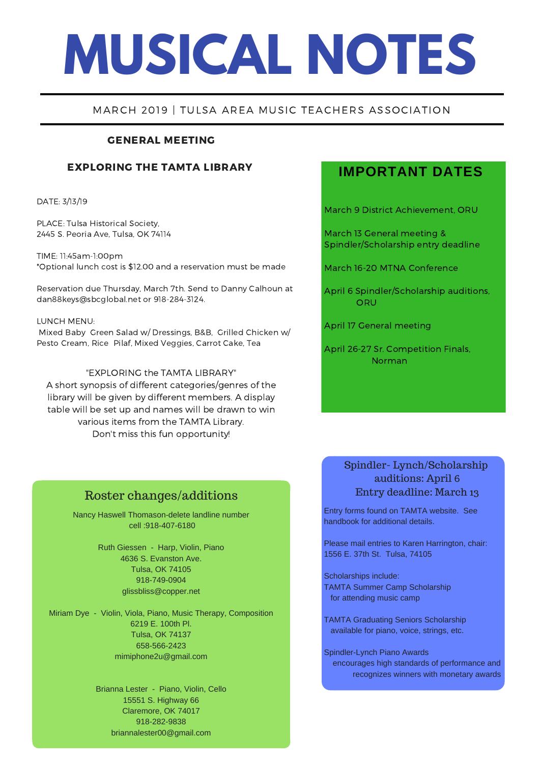# **MUSICAL NOTES**

## MARCH 2019 | TULSA AREA MUSIC TEACHERS ASSOCIATION

## GENERAL MEETING

## EXPLORING THE TAMTA LIBRARY

DATE: 3/13/19

PLACE: Tulsa Historical Society, 2445 S. Peoria Ave, Tulsa, OK 74114

TIME: 11:45am-1:00pm \*Optional lunch cost is \$12.00 and a reservation must be made

Reservation due Thursday, March 7th. Send to Danny Calhoun at dan88keys@sbcglobal.net or 918-284-3124.

#### LUNCH MENU:

Mixed Baby Green Salad w/ Dressings, B&B, Grilled Chicken w/ Pesto Cream, Rice Pilaf, Mixed Veggies, Carrot Cake, Tea

#### "EXPLORING the TAMTA LIBRARY"

A short synopsis of different [categories/genres](https://claraboyett.wixsite.com/pianist/bio) of the library will be given by different members. A display table will be set up and names will be drawn to win various items from the TAMTA Library. Don't miss this fun opportunity!

## **IMPORTANT DATES**

March 9 District Achievement, ORU

March 13 General meeting & Spindler/Scholarship entry deadline

March 16-20 MTNA Conference

April 6 Spindler/Scholarship auditions, **ORU** 

April 17 General meeting

April 26-27 Sr. Competition Finals, Norman

## Roster changes/additions

Nancy Haswell Thomason-delete landline number cell :918-407-6180

> Ruth Giessen - Harp, Violin, Piano 4636 S. Evanston Ave. Tulsa, OK 74105 918-749-0904 glissbliss@copper.net

Miriam Dye - Violin, Viola, Piano, Music Therapy, Composition 6219 E. 100th Pl. Tulsa, OK 74137 658-566-2423 mimiphone2u@gmail.com

> Brianna Lester - Piano, Violin, Cello 15551 S. Highway 66 Claremore, OK 74017 918-282-9838 briannalester00@gmail.com

## Spindler- Lynch/Scholarship auditions: April 6 Entry deadline: March 13

Entry forms found on TAMTA website. See handbook for additional details.

Please mail entries to Karen Harrington, chair: 1556 E. 37th St. Tulsa, 74105

Scholarships include: TAMTA Summer Camp Scholarship for attending music camp

TAMTA Graduating Seniors Scholarship available for piano, voice, strings, etc.

Spindler-Lynch Piano Awards encourages high standards of performance and recognizes winners with monetary awards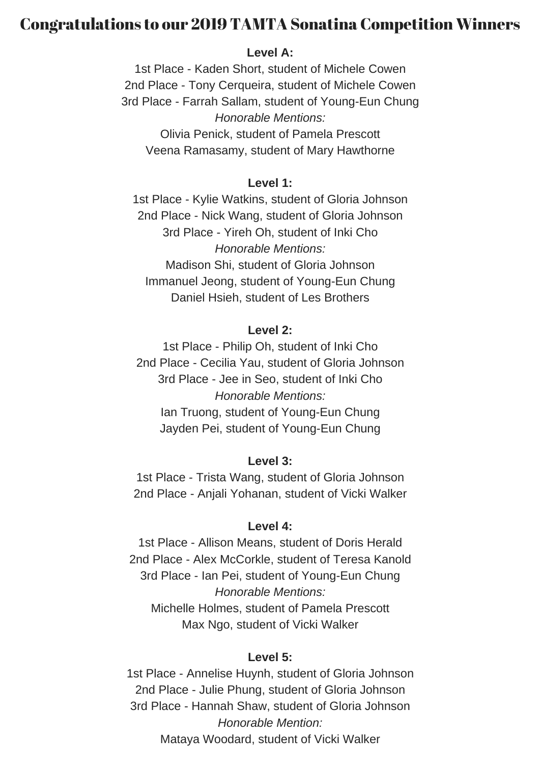# Congratulations to our 2019 TAMTA Sonatina Competition Winners

## **Level A:**

1st Place - Kaden Short, student of Michele Cowen 2nd Place - Tony Cerqueira, student of Michele Cowen 3rd Place - Farrah Sallam, student of Young-Eun Chung *Honorable Mentions:* Olivia Penick, student of Pamela Prescott Veena Ramasamy, student of Mary Hawthorne

## **Level 1:**

1st Place - Kylie Watkins, student of Gloria Johnson 2nd Place - Nick Wang, student of Gloria Johnson 3rd Place - Yireh Oh, student of Inki Cho *Honorable Mentions:* Madison Shi, student of Gloria Johnson Immanuel Jeong, student of Young-Eun Chung Daniel Hsieh, student of Les Brothers

## **Level 2:**

1st Place - Philip Oh, student of Inki Cho 2nd Place - Cecilia Yau, student of Gloria Johnson 3rd Place - Jee in Seo, student of Inki Cho *Honorable Mentions:* Ian Truong, student of Young-Eun Chung Jayden Pei, student of Young-Eun Chung

## **Level 3:**

1st Place - Trista Wang, student of Gloria Johnson 2nd Place - Anjali Yohanan, student of Vicki Walker

## **Level 4:**

1st Place - Allison Means, student of Doris Herald 2nd Place - Alex McCorkle, student of Teresa Kanold 3rd Place - Ian Pei, student of Young-Eun Chung *Honorable Mentions:* Michelle Holmes, student of Pamela Prescott Max Ngo, student of Vicki Walker

## **Level 5:**

1st Place - Annelise Huynh, student of Gloria Johnson 2nd Place - Julie Phung, student of Gloria Johnson 3rd Place - Hannah Shaw, student of Gloria Johnson *Honorable Mention:* Mataya Woodard, student of Vicki Walker